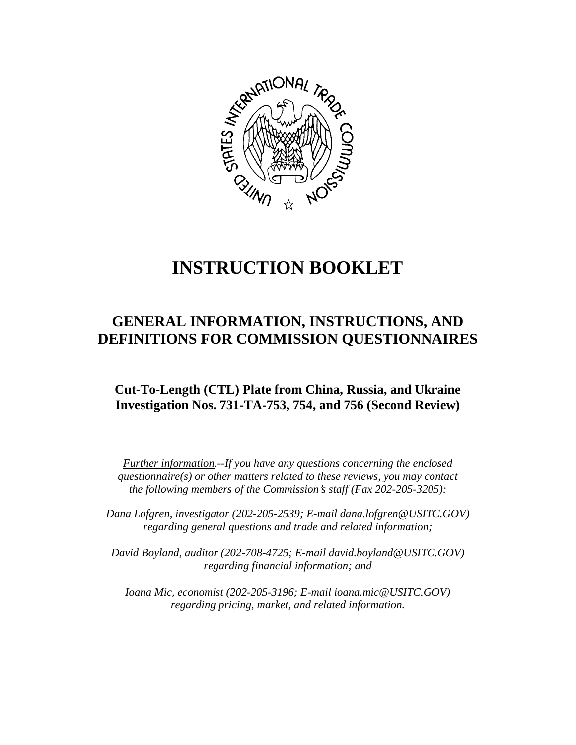

# **INSTRUCTION BOOKLET**

# **GENERAL INFORMATION, INSTRUCTIONS, AND DEFINITIONS FOR COMMISSION QUESTIONNAIRES**

# **Cut-To-Length (CTL) Plate from China, Russia, and Ukraine Investigation Nos. 731-TA-753, 754, and 756 (Second Review)**

*Further information.--If you have any questions concerning the enclosed questionnaire(s) or other matters related to these reviews, you may contact the following members of the Commission's staff (Fax 202-205-3205):* 

 *Dana Lofgren, investigator (202-205-2539; E-mail dana.lofgren@USITC.GOV) regarding general questions and trade and related information;* 

 *David Boyland, auditor (202-708-4725; E-mail david.boyland@USITC.GOV) regarding financial information; and* 

 *Ioana Mic, economist (202-205-3196; E-mail ioana.mic@USITC.GOV) regarding pricing, market, and related information.*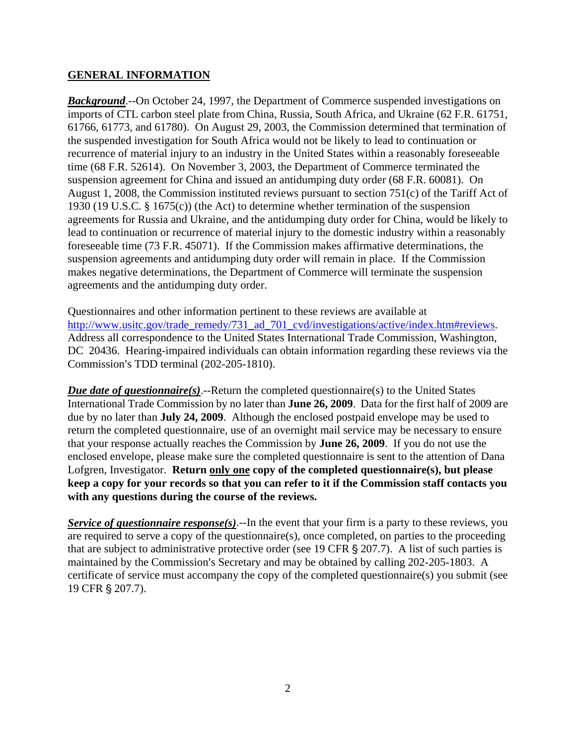#### **GENERAL INFORMATION**

*Background*.--On October 24, 1997, the Department of Commerce suspended investigations on imports of CTL carbon steel plate from China, Russia, South Africa, and Ukraine (62 F.R. 61751, 61766, 61773, and 61780). On August 29, 2003, the Commission determined that termination of the suspended investigation for South Africa would not be likely to lead to continuation or recurrence of material injury to an industry in the United States within a reasonably foreseeable time (68 F.R. 52614). On November 3, 2003, the Department of Commerce terminated the suspension agreement for China and issued an antidumping duty order (68 F.R. 60081). On August 1, 2008, the Commission instituted reviews pursuant to section 751(c) of the Tariff Act of 1930 (19 U.S.C. § 1675(c)) (the Act) to determine whether termination of the suspension agreements for Russia and Ukraine, and the antidumping duty order for China, would be likely to lead to continuation or recurrence of material injury to the domestic industry within a reasonably foreseeable time (73 F.R. 45071). If the Commission makes affirmative determinations, the suspension agreements and antidumping duty order will remain in place. If the Commission makes negative determinations, the Department of Commerce will terminate the suspension agreements and the antidumping duty order.

Questionnaires and other information pertinent to these reviews are available at http://www.usitc.gov/trade\_remedy/731\_ad\_701\_cvd/investigations/active/index.htm#reviews. Address all correspondence to the United States International Trade Commission, Washington, DC 20436. Hearing-impaired individuals can obtain information regarding these reviews via the Commission's TDD terminal (202-205-1810).

*Due date of questionnaire(s)*.--Return the completed questionnaire(s) to the United States International Trade Commission by no later than **June 26, 2009**. Data for the first half of 2009 are due by no later than **July 24, 2009**. Although the enclosed postpaid envelope may be used to return the completed questionnaire, use of an overnight mail service may be necessary to ensure that your response actually reaches the Commission by **June 26, 2009**. If you do not use the enclosed envelope, please make sure the completed questionnaire is sent to the attention of Dana Lofgren, Investigator. **Return only one copy of the completed questionnaire(s), but please keep a copy for your records so that you can refer to it if the Commission staff contacts you with any questions during the course of the reviews.**

*Service of questionnaire response(s)*.--In the event that your firm is a party to these reviews, you are required to serve a copy of the questionnaire(s), once completed, on parties to the proceeding that are subject to administrative protective order (see 19 CFR  $\S 207.7$ ). A list of such parties is maintained by the Commission's Secretary and may be obtained by calling 202-205-1803. A certificate of service must accompany the copy of the completed questionnaire(s) you submit (see 19 CFR § 207.7).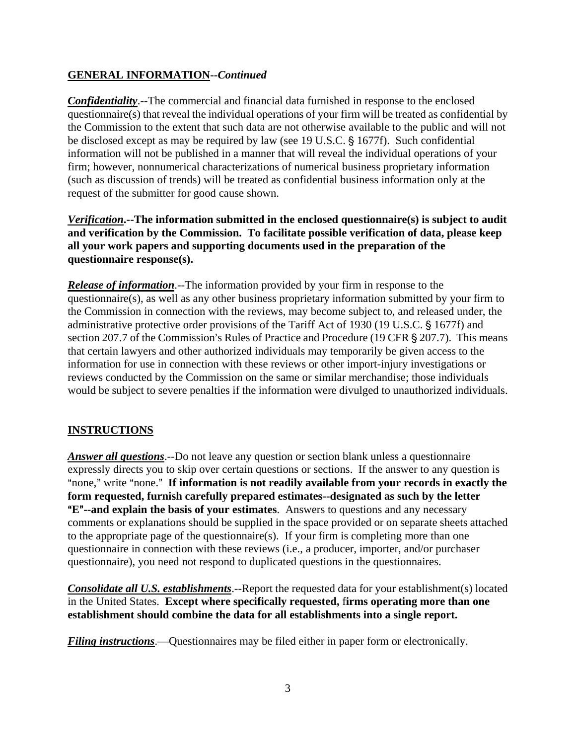# **GENERAL INFORMATION--***Continued*

*Confidentiality*.--The commercial and financial data furnished in response to the enclosed questionnaire(s) that reveal the individual operations of your firm will be treated as confidential by the Commission to the extent that such data are not otherwise available to the public and will not be disclosed except as may be required by law (see 19 U.S.C. § 1677f). Such confidential information will not be published in a manner that will reveal the individual operations of your firm; however, nonnumerical characterizations of numerical business proprietary information (such as discussion of trends) will be treated as confidential business information only at the request of the submitter for good cause shown.

*Verification***.--The information submitted in the enclosed questionnaire(s) is subject to audit and verification by the Commission. To facilitate possible verification of data, please keep all your work papers and supporting documents used in the preparation of the questionnaire response(s).**

*Release of information*.--The information provided by your firm in response to the questionnaire(s), as well as any other business proprietary information submitted by your firm to the Commission in connection with the reviews, may become subject to, and released under, the administrative protective order provisions of the Tariff Act of 1930 (19 U.S.C. § 1677f) and section 207.7 of the Commission's Rules of Practice and Procedure (19 CFR  $\S$  207.7). This means that certain lawyers and other authorized individuals may temporarily be given access to the information for use in connection with these reviews or other import-injury investigations or reviews conducted by the Commission on the same or similar merchandise; those individuals would be subject to severe penalties if the information were divulged to unauthorized individuals.

## **INSTRUCTIONS**

*Answer all questions*.--Do not leave any question or section blank unless a questionnaire expressly directs you to skip over certain questions or sections. If the answer to any question is "none," write "none." If information is not readily available from your records in exactly the **form requested, furnish carefully prepared estimates--designated as such by the letter E<sup>n</sup>--and explain the basis of your estimates**. Answers to questions and any necessary comments or explanations should be supplied in the space provided or on separate sheets attached to the appropriate page of the questionnaire(s). If your firm is completing more than one questionnaire in connection with these reviews (i.e., a producer, importer, and/or purchaser questionnaire), you need not respond to duplicated questions in the questionnaires.

**Consolidate all U.S. establishments**.--Report the requested data for your establishment(s) located in the United States. **Except where specifically requested,** f**irms operating more than one establishment should combine the data for all establishments into a single report.**

*Filing instructions*.—Questionnaires may be filed either in paper form or electronically.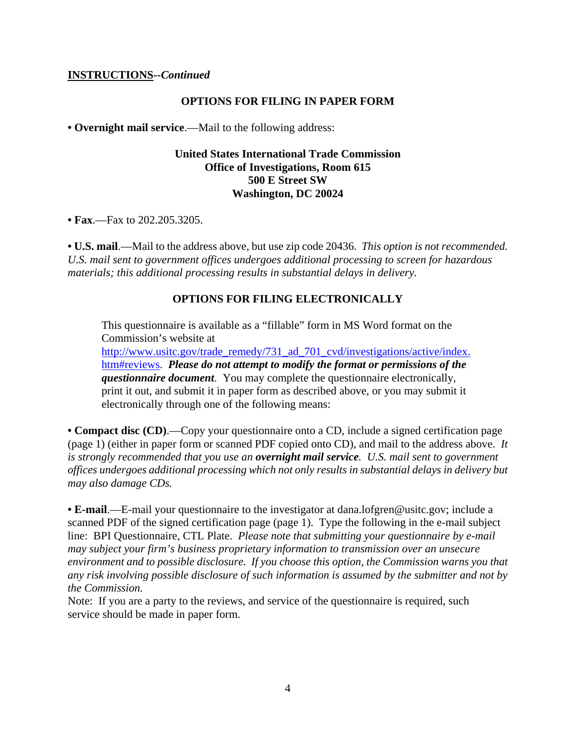#### **INSTRUCTIONS--***Continued*

#### **OPTIONS FOR FILING IN PAPER FORM**

**• Overnight mail service**.—Mail to the following address:

#### **United States International Trade Commission Office of Investigations, Room 615 500 E Street SW Washington, DC 20024**

**• Fax**.—Fax to 202.205.3205.

**• U.S. mail**.—Mail to the address above, but use zip code 20436. *This option is not recommended. U.S. mail sent to government offices undergoes additional processing to screen for hazardous materials; this additional processing results in substantial delays in delivery.* 

#### **OPTIONS FOR FILING ELECTRONICALLY**

This questionnaire is available as a "fillable" form in MS Word format on the Commission's website at

http://www.usitc.gov/trade\_remedy/731\_ad\_701\_cvd/investigations/active/index. htm#reviews. *Please do not attempt to modify the format or permissions of the questionnaire document*. You may complete the questionnaire electronically, print it out, and submit it in paper form as described above, or you may submit it electronically through one of the following means:

**• Compact disc (CD)**.—Copy your questionnaire onto a CD, include a signed certification page (page 1) (either in paper form or scanned PDF copied onto CD), and mail to the address above. *It is strongly recommended that you use an overnight mail service. U.S. mail sent to government offices undergoes additional processing which not only results in substantial delays in delivery but may also damage CDs.* 

• **E-mail.**—E-mail your questionnaire to the investigator at dana.lofgren@usitc.gov; include a scanned PDF of the signed certification page (page 1). Type the following in the e-mail subject line: BPI Questionnaire, CTL Plate. *Please note that submitting your questionnaire by e-mail may subject your firm's business proprietary information to transmission over an unsecure environment and to possible disclosure. If you choose this option, the Commission warns you that any risk involving possible disclosure of such information is assumed by the submitter and not by the Commission.*

Note: If you are a party to the reviews, and service of the questionnaire is required, such service should be made in paper form.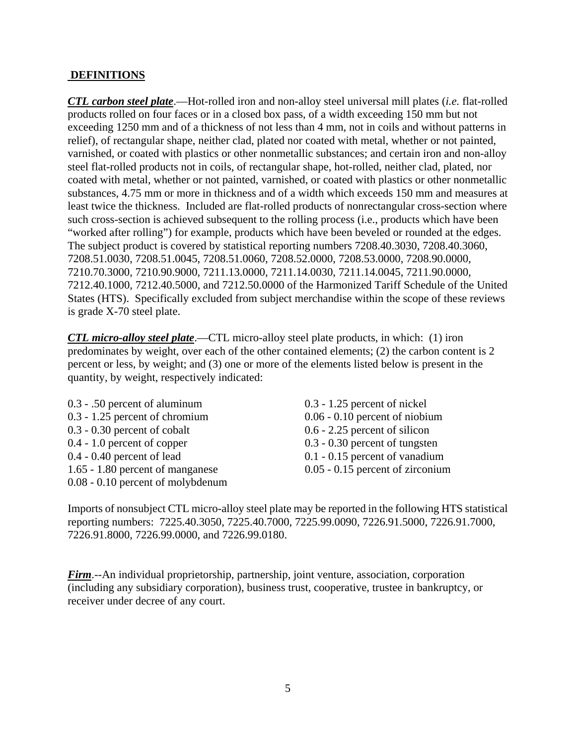#### **DEFINITIONS**

*CTL carbon steel plate*.—Hot-rolled iron and non-alloy steel universal mill plates (*i.e.* flat-rolled products rolled on four faces or in a closed box pass, of a width exceeding 150 mm but not exceeding 1250 mm and of a thickness of not less than 4 mm, not in coils and without patterns in relief), of rectangular shape, neither clad, plated nor coated with metal, whether or not painted, varnished, or coated with plastics or other nonmetallic substances; and certain iron and non-alloy steel flat-rolled products not in coils, of rectangular shape, hot-rolled, neither clad, plated, nor coated with metal, whether or not painted, varnished, or coated with plastics or other nonmetallic substances, 4.75 mm or more in thickness and of a width which exceeds 150 mm and measures at least twice the thickness. Included are flat-rolled products of nonrectangular cross-section where such cross-section is achieved subsequent to the rolling process (i.e., products which have been "worked after rolling") for example, products which have been beveled or rounded at the edges. The subject product is covered by statistical reporting numbers 7208.40.3030, 7208.40.3060, 7208.51.0030, 7208.51.0045, 7208.51.0060, 7208.52.0000, 7208.53.0000, 7208.90.0000, 7210.70.3000, 7210.90.9000, 7211.13.0000, 7211.14.0030, 7211.14.0045, 7211.90.0000, 7212.40.1000, 7212.40.5000, and 7212.50.0000 of the Harmonized Tariff Schedule of the United States (HTS). Specifically excluded from subject merchandise within the scope of these reviews is grade X-70 steel plate.

*CTL micro-alloy steel plate*.—CTL micro-alloy steel plate products, in which: (1) iron predominates by weight, over each of the other contained elements; (2) the carbon content is 2 percent or less, by weight; and (3) one or more of the elements listed below is present in the quantity, by weight, respectively indicated:

0.3 - .50 percent of aluminum 0.3 - 1.25 percent of nickel 0.3 - 1.25 percent of chromium 0.06 - 0.10 percent of niobium 0.3 - 0.30 percent of cobalt 0.6 - 2.25 percent of silicon 0.4 - 1.0 percent of copper 0.3 - 0.30 percent of tungsten 0.4 - 0.40 percent of lead 0.1 - 0.15 percent of vanadium 1.65 - 1.80 percent of manganese 0.05 - 0.15 percent of zirconium 0.08 - 0.10 percent of molybdenum

Imports of nonsubject CTL micro-alloy steel plate may be reported in the following HTS statistical reporting numbers: 7225.40.3050, 7225.40.7000, 7225.99.0090, 7226.91.5000, 7226.91.7000, 7226.91.8000, 7226.99.0000, and 7226.99.0180.

*Firm*.--An individual proprietorship, partnership, joint venture, association, corporation (including any subsidiary corporation), business trust, cooperative, trustee in bankruptcy, or receiver under decree of any court.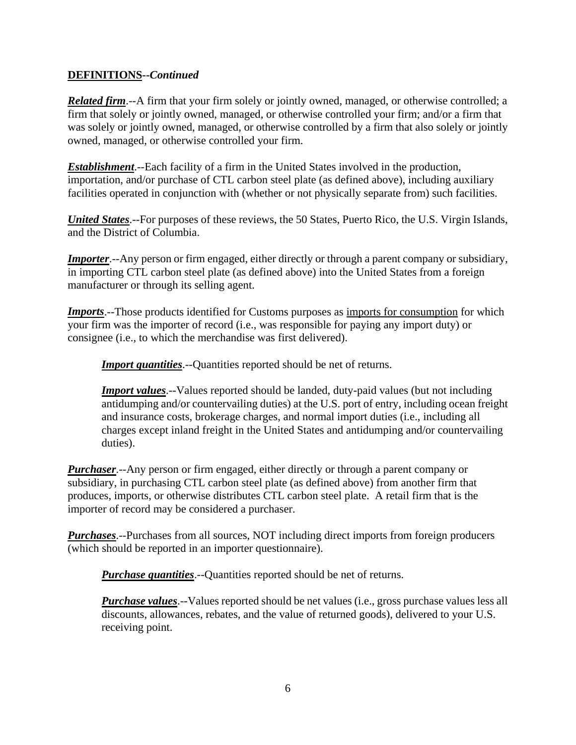# **DEFINITIONS--***Continued*

*Related firm*.--A firm that your firm solely or jointly owned, managed, or otherwise controlled; a firm that solely or jointly owned, managed, or otherwise controlled your firm; and/or a firm that was solely or jointly owned, managed, or otherwise controlled by a firm that also solely or jointly owned, managed, or otherwise controlled your firm.

*Establishment*.--Each facility of a firm in the United States involved in the production, importation, and/or purchase of CTL carbon steel plate (as defined above), including auxiliary facilities operated in conjunction with (whether or not physically separate from) such facilities.

*United States*.--For purposes of these reviews, the 50 States, Puerto Rico, the U.S. Virgin Islands, and the District of Columbia.

*Importer*.--Any person or firm engaged, either directly or through a parent company or subsidiary, in importing CTL carbon steel plate (as defined above) into the United States from a foreign manufacturer or through its selling agent.

*Imports*.--Those products identified for Customs purposes as imports for consumption for which your firm was the importer of record (i.e., was responsible for paying any import duty) or consignee (i.e., to which the merchandise was first delivered).

**Import quantities**.--Quantities reported should be net of returns.

**Import values**.--Values reported should be landed, duty-paid values (but not including antidumping and/or countervailing duties) at the U.S. port of entry, including ocean freight and insurance costs, brokerage charges, and normal import duties (i.e., including all charges except inland freight in the United States and antidumping and/or countervailing duties).

*Purchaser*.--Any person or firm engaged, either directly or through a parent company or subsidiary, in purchasing CTL carbon steel plate (as defined above) from another firm that produces, imports, or otherwise distributes CTL carbon steel plate. A retail firm that is the importer of record may be considered a purchaser.

*Purchases*.--Purchases from all sources, NOT including direct imports from foreign producers (which should be reported in an importer questionnaire).

*Purchase quantities*.--Quantities reported should be net of returns.

*Purchase values*.--Values reported should be net values (i.e., gross purchase values less all discounts, allowances, rebates, and the value of returned goods), delivered to your U.S. receiving point.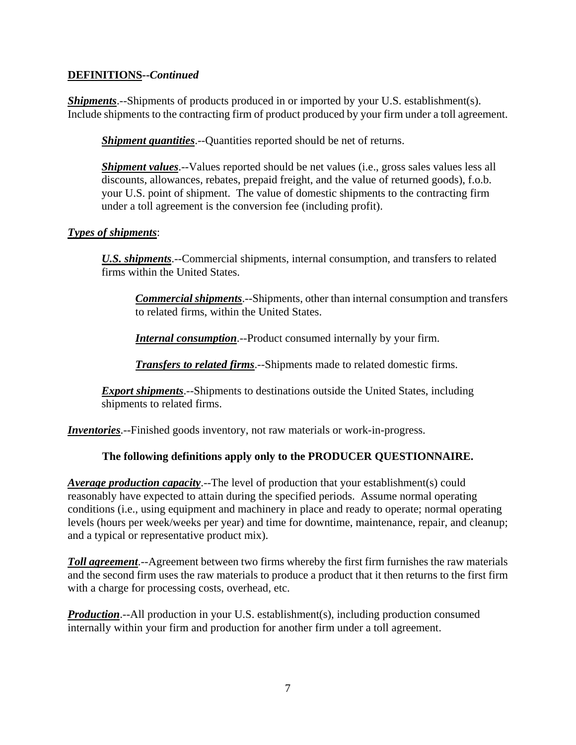# **DEFINITIONS--***Continued*

*Shipments*.--Shipments of products produced in or imported by your U.S. establishment(s). Include shipments to the contracting firm of product produced by your firm under a toll agreement.

*Shipment quantities*.--Quantities reported should be net of returns.

*Shipment values*.--Values reported should be net values (*i.e.*, gross sales values less all discounts, allowances, rebates, prepaid freight, and the value of returned goods), f.o.b. your U.S. point of shipment. The value of domestic shipments to the contracting firm under a toll agreement is the conversion fee (including profit).

# *Types of shipments*:

*U.S. shipments*.--Commercial shipments, internal consumption, and transfers to related firms within the United States.

*Commercial shipments*.--Shipments, other than internal consumption and transfers to related firms, within the United States.

*Internal consumption*.--Product consumed internally by your firm.

*Transfers to related firms*.--Shipments made to related domestic firms.

*Export shipments*.--Shipments to destinations outside the United States, including shipments to related firms.

*Inventories*.--Finished goods inventory, not raw materials or work-in-progress.

# **The following definitions apply only to the PRODUCER QUESTIONNAIRE.**

*Average production capacity*.--The level of production that your establishment(s) could reasonably have expected to attain during the specified periods. Assume normal operating conditions (i.e., using equipment and machinery in place and ready to operate; normal operating levels (hours per week/weeks per year) and time for downtime, maintenance, repair, and cleanup; and a typical or representative product mix).

*Toll agreement*.--Agreement between two firms whereby the first firm furnishes the raw materials and the second firm uses the raw materials to produce a product that it then returns to the first firm with a charge for processing costs, overhead, etc.

*Production*.--All production in your U.S. establishment(s), including production consumed internally within your firm and production for another firm under a toll agreement.